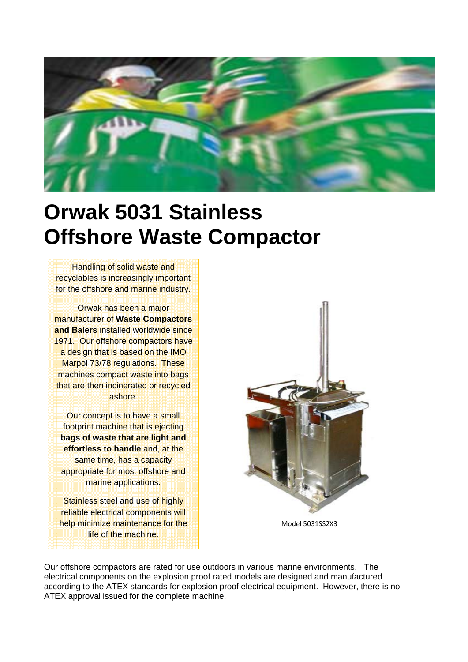

## **Orwak 5031 Stainless Offshore Waste Compactor**

Handling of solid waste and recyclables is increasingly important for the offshore and marine industry.

Orwak has been a major manufacturer of **Waste Compactors and Balers** installed worldwide since 1971. Our offshore compactors have a design that is based on the IMO Marpol 73/78 regulations. These machines compact waste into bags that are then incinerated or recycled ashore.

Our concept is to have a small footprint machine that is ejecting **bags of waste that are light and effortless to handle** and, at the same time, has a capacity appropriate for most offshore and marine applications.

Stainless steel and use of highly reliable electrical components will help minimize maintenance for the life of the machine.



Model 5031SS2X3

Our offshore compactors are rated for use outdoors in various marine environments. The electrical components on the explosion proof rated models are designed and manufactured according to the ATEX standards for explosion proof electrical equipment. However, there is no ATEX approval issued for the complete machine.